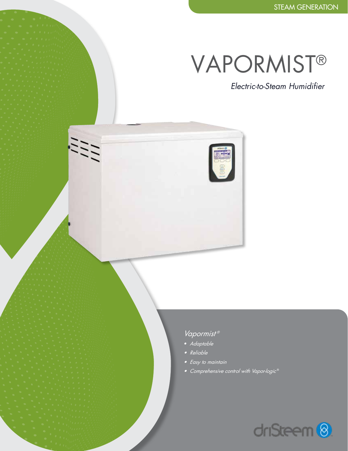# VAPORMIST®

*Electric-to-Steam Humidifier*

### *Vapormist ®*

- *• Adaptable*
- *• Reliable*

 $\frac{\partial f}{\partial t}$ 

- *• Easy to maintain*
- *• Comprehensive control with Vapor-logic* ®

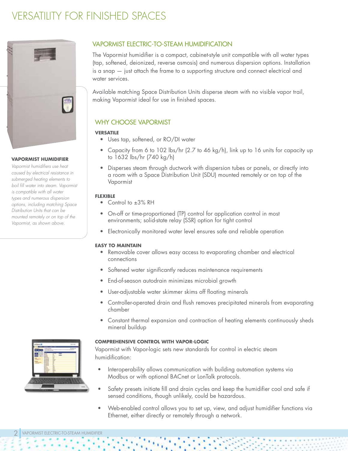

#### **VAPORMIST HUMIDIFIER**

*Vapormist humidifiers use heat caused by electrical resistance in submerged heating elements to boil fill water into steam. Vapormist is compatible with all water types and numerous dispersion options, including matching Space Distribution Units that can be mounted remotely or on top of the Vapormist, as shown above.*

#### VAPORMIST ELECTRIC-TO-STEAM HUMIDIFICATION

The Vapormist humidifier is a compact, cabinet-style unit compatible with all water types (tap, softened, deionized, reverse osmosis) and numerous dispersion options. Installation is a snap — just attach the frame to a supporting structure and connect electrical and water services.

Available matching Space Distribution Units disperse steam with no visible vapor trail, making Vapormist ideal for use in finished spaces.

#### WHY CHOOSE VAPORMIST

#### **VERSATILE**

- Uses tap, softened, or RO/DI water
- Capacity from 6 to 102 lbs/hr (2.7 to 46 kg/h), link up to 16 units for capacity up to 1632 lbs/hr (740 kg/h)
- Disperses steam through ductwork with dispersion tubes or panels, or directly into a room with a Space Distribution Unit (SDU) mounted remotely or on top of the Vapormist

#### **FLEXIBLE**

- Control to ±3% RH
- On-off or time-proportioned (TP) control for application control in most environments; solid-state relay (SSR) option for tight control
- Electronically monitored water level ensures safe and reliable operation

#### **EASY TO MAINTAIN**

- Removable cover allows easy access to evaporating chamber and electrical connections
- Softened water significantly reduces maintenance requirements
- End-of-season autodrain minimizes microbial growth
- User-adjustable water skimmer skims off floating minerals
- Controller-operated drain and flush removes precipitated minerals from evaporating chamber
- Constant thermal expansion and contraction of heating elements continuously sheds mineral buildup

#### **COMPREHENSIVE CONTROL WITH VAPOR-LOGIC**

Vapormist with Vapor-logic sets new standards for control in electric steam humidification:

- Interoperability allows communication with building automation systems via Modbus or with optional BACnet or LonTalk protocols.
- Safety presets initiate fill and drain cycles and keep the humidifier cool and safe if sensed conditions, though unlikely, could be hazardous.
- Web-enabled control allows you to set up, view, and adjust humidifier functions via Ethernet, either directly or remotely through a network.

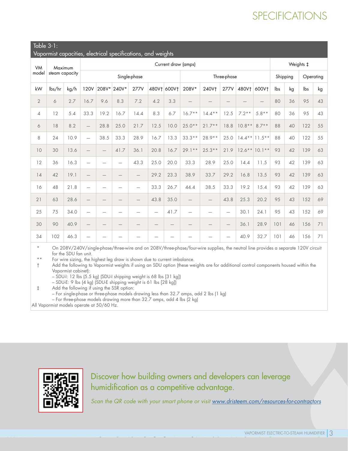## SPECIFICATIONS

#### Table 3-1:

|  | Vapormist capacities, electrical specifications, and weights |  |
|--|--------------------------------------------------------------|--|
|  |                                                              |  |

| VM<br>model<br>steam capacity | Maximum |              | Current draw (amps)      |                          |                          |                          |                          |                                 |                                 |                          |                          |           | Weights ‡         |           |    |     |    |
|-------------------------------|---------|--------------|--------------------------|--------------------------|--------------------------|--------------------------|--------------------------|---------------------------------|---------------------------------|--------------------------|--------------------------|-----------|-------------------|-----------|----|-----|----|
|                               |         | Single-phase |                          |                          |                          |                          | Three-phase              |                                 |                                 |                          |                          | Shipping  |                   | Operating |    |     |    |
| kW                            | lbs/hr  | kg/h         | <b>120V</b>              | 208V*                    | 240V*                    | <b>277V</b>              | 480V† 600V†              |                                 | 208V*                           | 240Vt                    | 277V                     | 480V†     | 600Vt             | lbs       | kg | lbs | kg |
| $\overline{2}$                | 6       | 2.7          | 16.7                     | 9.6                      | 8.3                      | 7.2                      | 4.2                      | 3.3                             | $\qquad \qquad -$               |                          | $\qquad \qquad -$        |           | $\qquad \qquad -$ | 80        | 36 | 95  | 43 |
| 4                             | 12      | 5.4          | 33.3                     | 19.2                     | 16.7                     | 14.4                     | 8.3                      | 6.7                             | $16.7**$                        | $14.4***$                | 12.5                     | $7.2**$   | $5.8**$           | 80        | 36 | 95  | 43 |
| 6                             | 18      | 8.2          |                          | 28.8                     | 25.0                     | 21.7                     | 12.5                     | 10.0                            | $25.0**$                        | $21.7**$                 | 18.8                     | $10.8**$  | $8.7**$           | 88        | 40 | 122 | 55 |
| 8                             | 24      | 10.9         | $\overline{\phantom{0}}$ | 38.5                     | 33.3                     | 28.9                     | 16.7                     | 13.3                            | $33.3**$                        | $28.9**$                 | 25.0                     | $14.4**$  | $11.5***$         | 88        | 40 | 122 | 55 |
| 10                            | 30      | 13.6         |                          | $\qquad \qquad -$        | 41.7                     | 36.1                     | 20.8                     | 16.7                            | $29.1**$                        | $25.3**$                 | 21.9                     | $12.6***$ | $10.1**$          | 93        | 42 | 139 | 63 |
| 12                            | 36      | 16.3         | $\overline{\phantom{0}}$ | $\overline{\phantom{0}}$ | $\overline{\phantom{0}}$ | 43.3                     | 25.0                     | 20.0                            | 33.3                            | 28.9                     | 25.0                     | 14.4      | 11.5              | 93        | 42 | 139 | 63 |
| 14                            | 42      | 19.1         | $\overline{\phantom{0}}$ | $\qquad \qquad -$        | $\qquad \qquad -$        |                          | 29.2                     | 23.3                            | 38.9                            | 33.7                     | 29.2                     | 16.8      | 13.5              | 93        | 42 | 139 | 63 |
| 16                            | 48      | 21.8         | $\overline{\phantom{0}}$ |                          | $\overline{\phantom{0}}$ | $\overline{\phantom{0}}$ | 33.3                     | 26.7                            | 44.4                            | 38.5                     | 33.3                     | 19.2      | 15.4              | 93        | 42 | 139 | 63 |
| 21                            | 63      | 28.6         |                          | $\qquad \qquad -$        | $\qquad \qquad -$        |                          | 43.8                     | 35.0                            | $\overline{\phantom{0}}$        | $\qquad \qquad -$        | 43.8                     | 25.3      | 20.2              | 95        | 43 | 152 | 69 |
| 25                            | 75      | 34.0         | $\overline{\phantom{0}}$ | $\overline{\phantom{0}}$ |                          |                          | $\overline{\phantom{0}}$ | 41.7                            |                                 | $\overline{\phantom{0}}$ |                          | 30.1      | 24.1              | 95        | 43 | 152 | 69 |
| 30                            | 90      | 40.9         | $\overline{\phantom{0}}$ | $\qquad \qquad -$        | $\qquad \qquad -$        |                          | $\overline{\phantom{m}}$ | $\hspace{0.1mm}-\hspace{0.1mm}$ | $\hspace{0.1mm}-\hspace{0.1mm}$ |                          | $\qquad \qquad -$        | 36.1      | 28.9              | 101       | 46 | 156 | 71 |
| 34                            | 102     | 46.3         | $\overline{\phantom{0}}$ |                          |                          |                          |                          |                                 |                                 |                          | $\overline{\phantom{0}}$ | 40.9      | 32.7              | 101       | 46 | 156 | 71 |

On 208V/240V/single-phase/three-wire and on 208V/three-phase/four-wire supplies, the neutral line provides a separate 120V circuit for the SDU fan unit.

\*\* For wire sizing, the highest leg draw is shown due to current imbalance.

† Add the following to Vapormist weights if using an SDU option (these weights are for additional control components housed within the Vapormist cabinet):

– SDU-I: 12 lbs (5.5 kg) (SDU-I shipping weight is 68 lbs [31 kg])

– SDU-E: 9 lbs (4 kg) (SDU-E shipping weight is 61 lbs [28 kg])

‡ Add the following if using the SSR option:

– For single-phase or three-phase models drawing less than 32.7 amps, add 2 lbs (1 kg)

– For three-phase models drawing more than 32.7 amps, add 4 lbs (2 kg)

All Vapormist models operate at 50/60 Hz.



Discover how building owners and developers can leverage humidification as a competitive advantage.

*Scan the QR code with your smart phone or visit [www.dristeem.com/resources-for-contractors](http://www.dristeem.com/resources-for-contractors)*